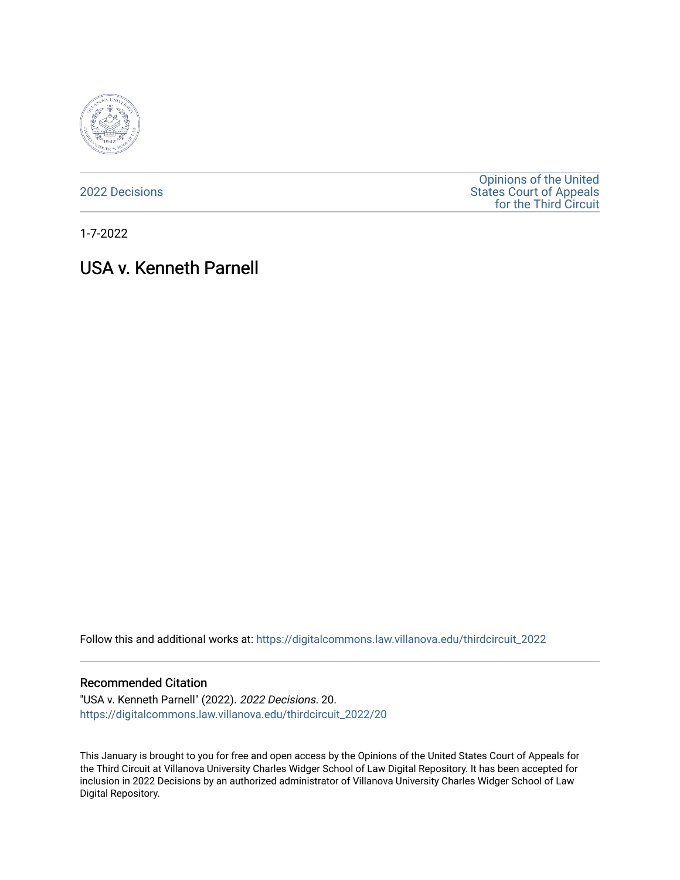

[2022 Decisions](https://digitalcommons.law.villanova.edu/thirdcircuit_2022)

[Opinions of the United](https://digitalcommons.law.villanova.edu/thirdcircuit)  [States Court of Appeals](https://digitalcommons.law.villanova.edu/thirdcircuit)  [for the Third Circuit](https://digitalcommons.law.villanova.edu/thirdcircuit) 

1-7-2022

# USA v. Kenneth Parnell

Follow this and additional works at: [https://digitalcommons.law.villanova.edu/thirdcircuit\\_2022](https://digitalcommons.law.villanova.edu/thirdcircuit_2022?utm_source=digitalcommons.law.villanova.edu%2Fthirdcircuit_2022%2F20&utm_medium=PDF&utm_campaign=PDFCoverPages) 

#### Recommended Citation

"USA v. Kenneth Parnell" (2022). 2022 Decisions. 20. [https://digitalcommons.law.villanova.edu/thirdcircuit\\_2022/20](https://digitalcommons.law.villanova.edu/thirdcircuit_2022/20?utm_source=digitalcommons.law.villanova.edu%2Fthirdcircuit_2022%2F20&utm_medium=PDF&utm_campaign=PDFCoverPages)

This January is brought to you for free and open access by the Opinions of the United States Court of Appeals for the Third Circuit at Villanova University Charles Widger School of Law Digital Repository. It has been accepted for inclusion in 2022 Decisions by an authorized administrator of Villanova University Charles Widger School of Law Digital Repository.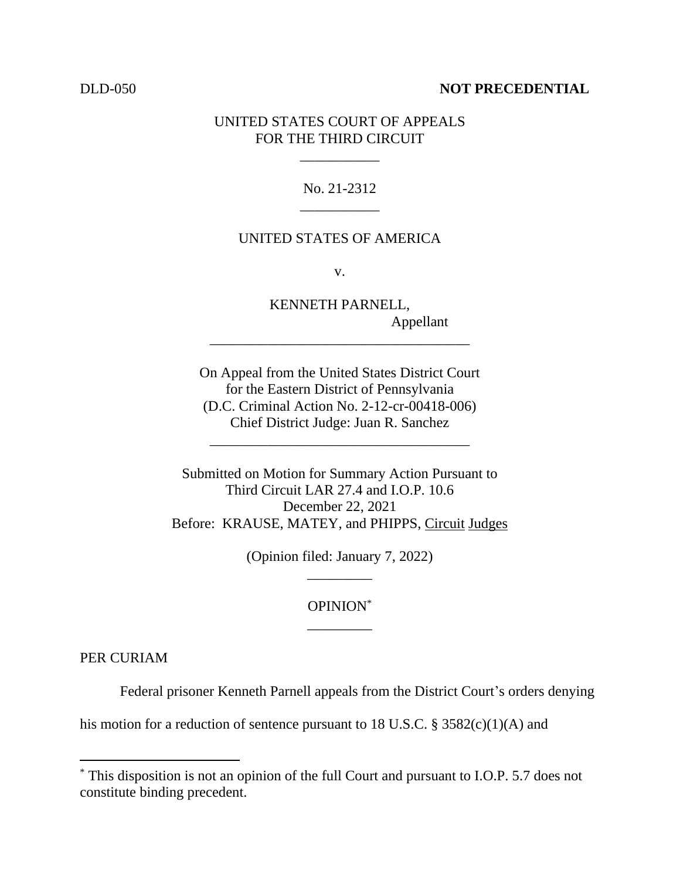### DLD-050 **NOT PRECEDENTIAL**

## UNITED STATES COURT OF APPEALS FOR THE THIRD CIRCUIT

\_\_\_\_\_\_\_\_\_\_\_

## No. 21-2312 \_\_\_\_\_\_\_\_\_\_\_

#### UNITED STATES OF AMERICA

v.

KENNETH PARNELL, Appellant

On Appeal from the United States District Court for the Eastern District of Pennsylvania (D.C. Criminal Action No. 2-12-cr-00418-006) Chief District Judge: Juan R. Sanchez

\_\_\_\_\_\_\_\_\_\_\_\_\_\_\_\_\_\_\_\_\_\_\_\_\_\_\_\_\_\_\_\_\_\_\_\_

\_\_\_\_\_\_\_\_\_\_\_\_\_\_\_\_\_\_\_\_\_\_\_\_\_\_\_\_\_\_\_\_\_\_\_\_

Submitted on Motion for Summary Action Pursuant to Third Circuit LAR 27.4 and I.O.P. 10.6 December 22, 2021 Before: KRAUSE, MATEY, and PHIPPS, Circuit Judges

> (Opinion filed: January 7, 2022) \_\_\_\_\_\_\_\_\_

## OPINION\* \_\_\_\_\_\_\_\_\_

PER CURIAM

Federal prisoner Kenneth Parnell appeals from the District Court's orders denying

his motion for a reduction of sentence pursuant to 18 U.S.C.  $\S$  3582(c)(1)(A) and

<sup>\*</sup> This disposition is not an opinion of the full Court and pursuant to I.O.P. 5.7 does not constitute binding precedent.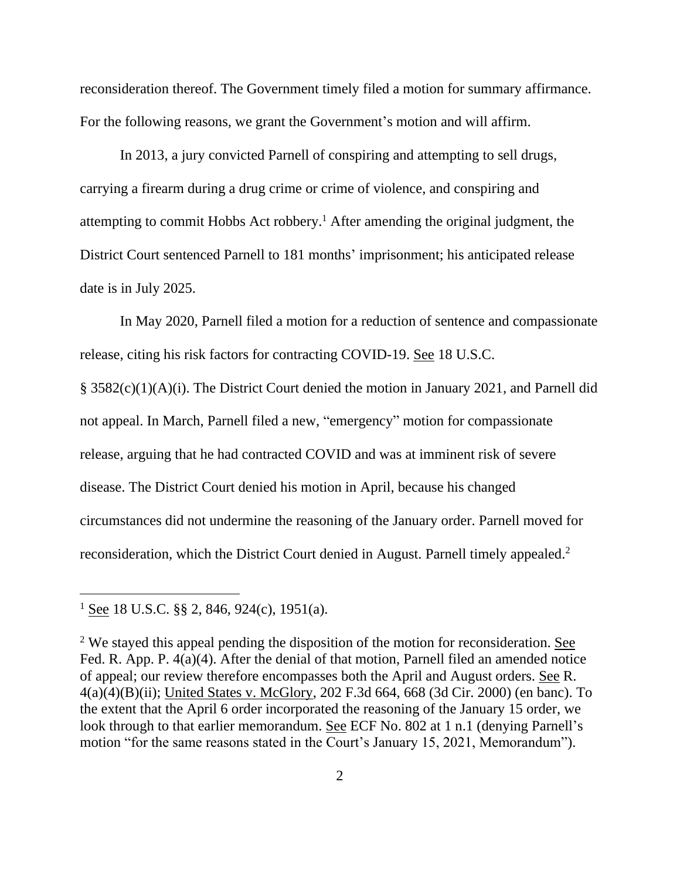reconsideration thereof. The Government timely filed a motion for summary affirmance. For the following reasons, we grant the Government's motion and will affirm.

In 2013, a jury convicted Parnell of conspiring and attempting to sell drugs, carrying a firearm during a drug crime or crime of violence, and conspiring and attempting to commit Hobbs Act robbery. <sup>1</sup> After amending the original judgment, the District Court sentenced Parnell to 181 months' imprisonment; his anticipated release date is in July 2025.

In May 2020, Parnell filed a motion for a reduction of sentence and compassionate release, citing his risk factors for contracting COVID-19. See 18 U.S.C.

§ 3582(c)(1)(A)(i). The District Court denied the motion in January 2021, and Parnell did not appeal. In March, Parnell filed a new, "emergency" motion for compassionate release, arguing that he had contracted COVID and was at imminent risk of severe disease. The District Court denied his motion in April, because his changed circumstances did not undermine the reasoning of the January order. Parnell moved for reconsideration, which the District Court denied in August. Parnell timely appealed.<sup>2</sup>

<sup>&</sup>lt;sup>1</sup> See 18 U.S.C. §§ 2, 846, 924(c), 1951(a).

<sup>&</sup>lt;sup>2</sup> We stayed this appeal pending the disposition of the motion for reconsideration. See Fed. R. App. P. 4(a)(4). After the denial of that motion, Parnell filed an amended notice of appeal; our review therefore encompasses both the April and August orders. See R. 4(a)(4)(B)(ii); United States v. McGlory, 202 F.3d 664, 668 (3d Cir. 2000) (en banc). To the extent that the April 6 order incorporated the reasoning of the January 15 order, we look through to that earlier memorandum. See ECF No. 802 at 1 n.1 (denying Parnell's motion "for the same reasons stated in the Court's January 15, 2021, Memorandum").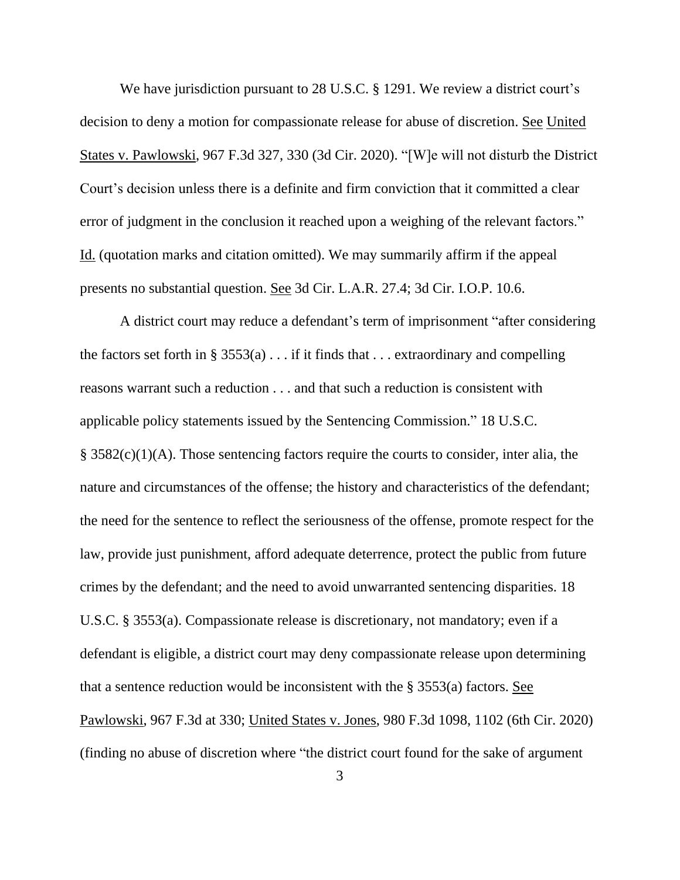We have jurisdiction pursuant to 28 U.S.C. § 1291. We review a district court's decision to deny a motion for compassionate release for abuse of discretion. See United States v. Pawlowski, 967 F.3d 327, 330 (3d Cir. 2020). "[W]e will not disturb the District Court's decision unless there is a definite and firm conviction that it committed a clear error of judgment in the conclusion it reached upon a weighing of the relevant factors." Id. (quotation marks and citation omitted). We may summarily affirm if the appeal presents no substantial question. See 3d Cir. L.A.R. 27.4; 3d Cir. I.O.P. 10.6.

A district court may reduce a defendant's term of imprisonment "after considering the factors set forth in § 3553(a)  $\ldots$  if it finds that  $\ldots$  extraordinary and compelling reasons warrant such a reduction . . . and that such a reduction is consistent with applicable policy statements issued by the Sentencing Commission." 18 U.S.C. § 3582(c)(1)(A). Those sentencing factors require the courts to consider, inter alia, the nature and circumstances of the offense; the history and characteristics of the defendant; the need for the sentence to reflect the seriousness of the offense, promote respect for the law, provide just punishment, afford adequate deterrence, protect the public from future crimes by the defendant; and the need to avoid unwarranted sentencing disparities. 18 U.S.C. § 3553(a). Compassionate release is discretionary, not mandatory; even if a defendant is eligible, a district court may deny compassionate release upon determining that a sentence reduction would be inconsistent with the § 3553(a) factors. See Pawlowski, 967 F.3d at 330; United States v. Jones, 980 F.3d 1098, 1102 (6th Cir. 2020) (finding no abuse of discretion where "the district court found for the sake of argument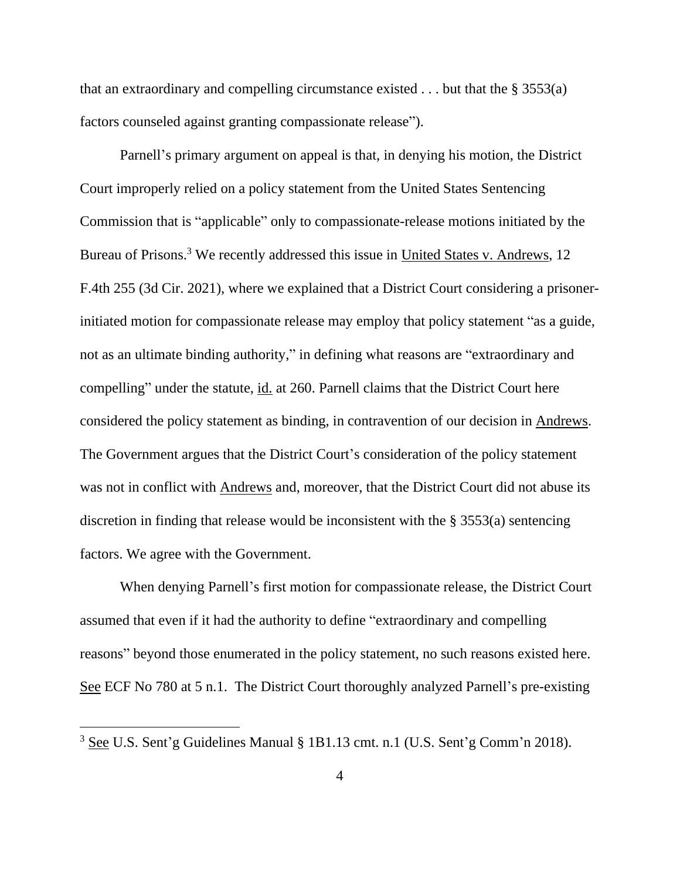that an extraordinary and compelling circumstance existed  $\dots$  but that the § 3553(a) factors counseled against granting compassionate release").

Parnell's primary argument on appeal is that, in denying his motion, the District Court improperly relied on a policy statement from the United States Sentencing Commission that is "applicable" only to compassionate-release motions initiated by the Bureau of Prisons.<sup>3</sup> We recently addressed this issue in United States v. Andrews, 12 F.4th 255 (3d Cir. 2021), where we explained that a District Court considering a prisonerinitiated motion for compassionate release may employ that policy statement "as a guide, not as an ultimate binding authority," in defining what reasons are "extraordinary and compelling" under the statute, id. at 260. Parnell claims that the District Court here considered the policy statement as binding, in contravention of our decision in Andrews. The Government argues that the District Court's consideration of the policy statement was not in conflict with Andrews and, moreover, that the District Court did not abuse its discretion in finding that release would be inconsistent with the § 3553(a) sentencing factors. We agree with the Government.

When denying Parnell's first motion for compassionate release, the District Court assumed that even if it had the authority to define "extraordinary and compelling reasons" beyond those enumerated in the policy statement, no such reasons existed here. See ECF No 780 at 5 n.1. The District Court thoroughly analyzed Parnell's pre-existing

<sup>3</sup> See U.S. Sent'g Guidelines Manual § 1B1.13 cmt. n.1 (U.S. Sent'g Comm'n 2018).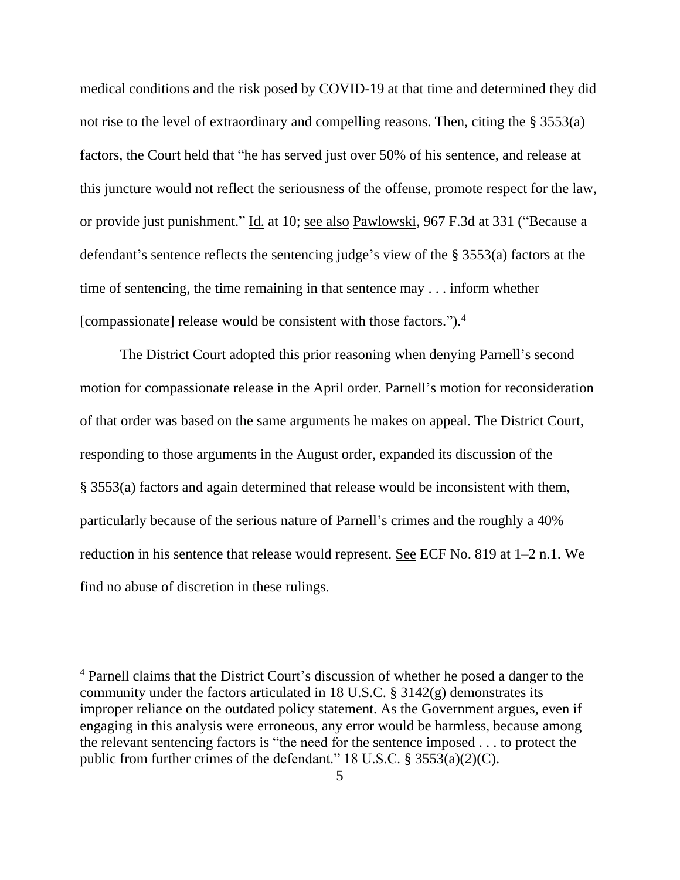medical conditions and the risk posed by COVID-19 at that time and determined they did not rise to the level of extraordinary and compelling reasons. Then, citing the § 3553(a) factors, the Court held that "he has served just over 50% of his sentence, and release at this juncture would not reflect the seriousness of the offense, promote respect for the law, or provide just punishment." Id. at 10; see also Pawlowski, 967 F.3d at 331 ("Because a defendant's sentence reflects the sentencing judge's view of the § 3553(a) factors at the time of sentencing, the time remaining in that sentence may . . . inform whether [compassionate] release would be consistent with those factors."). 4

The District Court adopted this prior reasoning when denying Parnell's second motion for compassionate release in the April order. Parnell's motion for reconsideration of that order was based on the same arguments he makes on appeal. The District Court, responding to those arguments in the August order, expanded its discussion of the § 3553(a) factors and again determined that release would be inconsistent with them, particularly because of the serious nature of Parnell's crimes and the roughly a 40% reduction in his sentence that release would represent. See ECF No. 819 at 1–2 n.1. We find no abuse of discretion in these rulings.

<sup>4</sup> Parnell claims that the District Court's discussion of whether he posed a danger to the community under the factors articulated in 18 U.S.C. § 3142(g) demonstrates its improper reliance on the outdated policy statement. As the Government argues, even if engaging in this analysis were erroneous, any error would be harmless, because among the relevant sentencing factors is "the need for the sentence imposed . . . to protect the public from further crimes of the defendant." 18 U.S.C. § 3553(a)(2)(C).